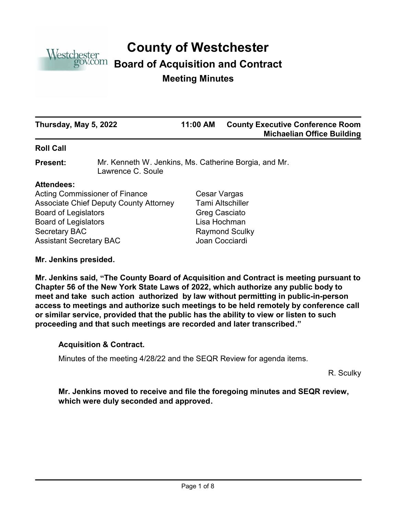

# **County of Westchester**

# **Board of Acquisition and Contract**

# **Meeting Minutes**

| Thursday, May 5, 2022 | 11:00 AM | <b>County Executive Conference Room</b><br><b>Michaelian Office Building</b> |
|-----------------------|----------|------------------------------------------------------------------------------|
| __ __ _ _             |          |                                                                              |

# **Roll Call**

Mr. Kenneth W. Jenkins, Ms. Catherine Borgia, and Mr. Lawrence C. Soule **Present:**

# **Attendees:**

Acting Commissioner of Finance Cesar Vargas Associate Chief Deputy County Attorney Tami Altschiller Board of Legislators Greg Casciato Board of Legislators **Lisa Hochman** Secretary BAC Raymond Sculky Assistant Secretary BAC Joan Cocciardi

**Mr. Jenkins presided.**

**Mr. Jenkins said, "The County Board of Acquisition and Contract is meeting pursuant to Chapter 56 of the New York State Laws of 2022, which authorize any public body to meet and take such action authorized by law without permitting in public-in-person access to meetings and authorize such meetings to be held remotely by conference call or similar service, provided that the public has the ability to view or listen to such proceeding and that such meetings are recorded and later transcribed."**

# **Acquisition & Contract.**

Minutes of the meeting 4/28/22 and the SEQR Review for agenda items.

R. Sculky

**Mr. Jenkins moved to receive and file the foregoing minutes and SEQR review, which were duly seconded and approved.**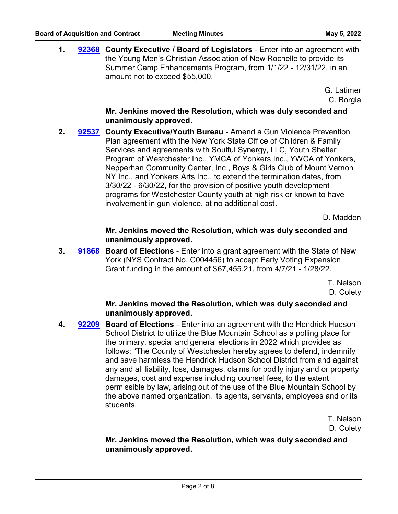**1. [92368](http://westchestercountynyexec.legistar.com/gateway.aspx?m=l&id=/matter.aspx?key=3250)** County Executive / Board of Legislators - Enter into an agreement with the Young Men's Christian Association of New Rochelle to provide its Summer Camp Enhancements Program, from 1/1/22 - 12/31/22, in an amount not to exceed \$55,000.

> G. Latimer C. Borgia

# **Mr. Jenkins moved the Resolution, which was duly seconded and unanimously approved.**

2. **[92537](http://westchestercountynyexec.legistar.com/gateway.aspx?m=l&id=/matter.aspx?key=3251) County Executive/Youth Bureau** - Amend a Gun Violence Prevention Plan agreement with the New York State Office of Children & Family Services and agreements with Soulful Synergy, LLC, Youth Shelter Program of Westchester Inc., YMCA of Yonkers Inc., YWCA of Yonkers, Nepperhan Community Center, Inc., Boys & Girls Club of Mount Vernon NY Inc., and Yonkers Arts Inc., to extend the termination dates, from 3/30/22 - 6/30/22, for the provision of positive youth development programs for Westchester County youth at high risk or known to have involvement in gun violence, at no additional cost.

D. Madden

# **Mr. Jenkins moved the Resolution, which was duly seconded and unanimously approved.**

**3. [91868](http://westchestercountynyexec.legistar.com/gateway.aspx?m=l&id=/matter.aspx?key=3252)** Board of Elections - Enter into a grant agreement with the State of New York (NYS Contract No. C004456) to accept Early Voting Expansion Grant funding in the amount of \$67,455.21, from 4/7/21 - 1/28/22.

> T. Nelson D. Colety

# **Mr. Jenkins moved the Resolution, which was duly seconded and unanimously approved.**

**4. 92209** Board of Elections - Enter into an agreement with the Hendrick Hudson School District to utilize the Blue Mountain School as a polling place for the primary, special and general elections in 2022 which provides as follows: "The County of Westchester hereby agrees to defend, indemnify and save harmless the Hendrick Hudson School District from and against any and all liability, loss, damages, claims for bodily injury and or property damages, cost and expense including counsel fees, to the extent permissible by law, arising out of the use of the Blue Mountain School by the above named organization, its agents, servants, employees and or its students. **[92209](http://westchestercountynyexec.legistar.com/gateway.aspx?m=l&id=/matter.aspx?key=3253)**

> T. Nelson D. Colety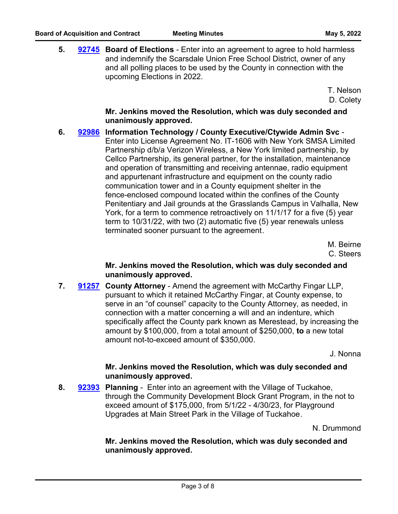**5. [92745](http://westchestercountynyexec.legistar.com/gateway.aspx?m=l&id=/matter.aspx?key=3254)** Board of Elections - Enter into an agreement to agree to hold harmless and indemnify the Scarsdale Union Free School District, owner of any and all polling places to be used by the County in connection with the upcoming Elections in 2022.

> T. Nelson D. Colety

# **Mr. Jenkins moved the Resolution, which was duly seconded and unanimously approved.**

**6. Information Technology / County Executive/Ctywide Admin Svc** - **[92986](http://westchestercountynyexec.legistar.com/gateway.aspx?m=l&id=/matter.aspx?key=3276)** Enter into License Agreement No. IT-1606 with New York SMSA Limited Partnership d/b/a Verizon Wireless, a New York limited partnership, by Cellco Partnership, its general partner, for the installation, maintenance and operation of transmitting and receiving antennae, radio equipment and appurtenant infrastructure and equipment on the county radio communication tower and in a County equipment shelter in the fence-enclosed compound located within the confines of the County Penitentiary and Jail grounds at the Grasslands Campus in Valhalla, New York, for a term to commence retroactively on 11/1/17 for a five (5) year term to 10/31/22, with two (2) automatic five (5) year renewals unless terminated sooner pursuant to the agreement.

> M. Beirne C. Steers

# **Mr. Jenkins moved the Resolution, which was duly seconded and unanimously approved.**

**7. [91257](http://westchestercountynyexec.legistar.com/gateway.aspx?m=l&id=/matter.aspx?key=3255)** County Attorney - Amend the agreement with McCarthy Fingar LLP, pursuant to which it retained McCarthy Fingar, at County expense, to serve in an "of counsel" capacity to the County Attorney, as needed, in connection with a matter concerning a will and an indenture, which specifically affect the County park known as Merestead, by increasing the amount by \$100,000, from a total amount of \$250,000, **to** a new total amount not-to-exceed amount of \$350,000.

J. Nonna

# **Mr. Jenkins moved the Resolution, which was duly seconded and unanimously approved.**

**8. Planning** - Enter into an agreement with the Village of Tuckahoe, **[92393](http://westchestercountynyexec.legistar.com/gateway.aspx?m=l&id=/matter.aspx?key=3256)** through the Community Development Block Grant Program, in the not to exceed amount of \$175,000, from 5/1/22 - 4/30/23, for Playground Upgrades at Main Street Park in the Village of Tuckahoe.

N. Drummond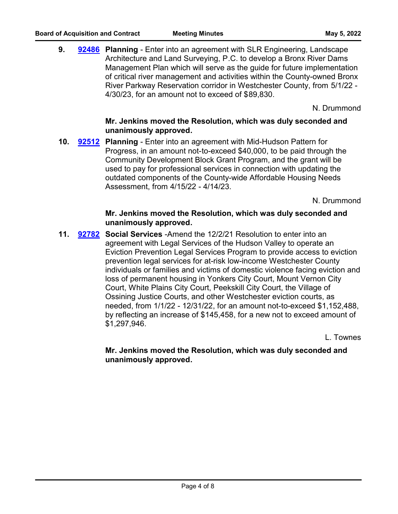**9. Planning** - Enter into an agreement with SLR Engineering, Landscape **[92486](http://westchestercountynyexec.legistar.com/gateway.aspx?m=l&id=/matter.aspx?key=3257)** Architecture and Land Surveying, P.C. to develop a Bronx River Dams Management Plan which will serve as the guide for future implementation of critical river management and activities within the County-owned Bronx River Parkway Reservation corridor in Westchester County, from 5/1/22 - 4/30/23, for an amount not to exceed of \$89,830.

N. Drummond

# **Mr. Jenkins moved the Resolution, which was duly seconded and unanimously approved.**

**10. [92512](http://westchestercountynyexec.legistar.com/gateway.aspx?m=l&id=/matter.aspx?key=3258) Planning** - Enter into an agreement with Mid-Hudson Pattern for Progress, in an amount not-to-exceed \$40,000, to be paid through the Community Development Block Grant Program, and the grant will be used to pay for professional services in connection with updating the outdated components of the County-wide Affordable Housing Needs Assessment, from 4/15/22 - 4/14/23.

N. Drummond

# **Mr. Jenkins moved the Resolution, which was duly seconded and unanimously approved.**

**11. Social Services** -Amend the 12/2/21 Resolution to enter into an agreement with Legal Services of the Hudson Valley to operate an Eviction Prevention Legal Services Program to provide access to eviction prevention legal services for at-risk low-income Westchester County individuals or families and victims of domestic violence facing eviction and loss of permanent housing in Yonkers City Court, Mount Vernon City Court, White Plains City Court, Peekskill City Court, the Village of Ossining Justice Courts, and other Westchester eviction courts, as needed, from 1/1/22 - 12/31/22, for an amount not-to-exceed \$1,152,488, by reflecting an increase of \$145,458, for a new not to exceed amount of \$1,297,946. **[92782](http://westchestercountynyexec.legistar.com/gateway.aspx?m=l&id=/matter.aspx?key=3260)**

L. Townes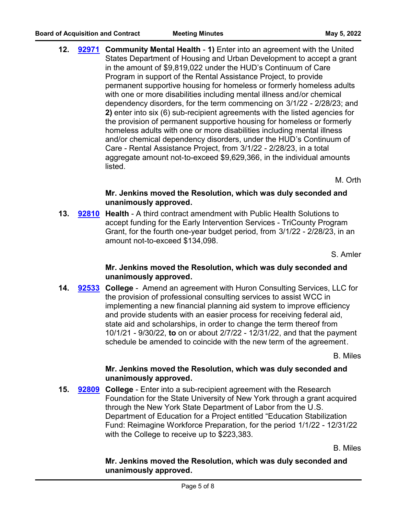**12. [92971](http://westchestercountynyexec.legistar.com/gateway.aspx?m=l&id=/matter.aspx?key=3273)** Community Mental Health - 1) Enter into an agreement with the United States Department of Housing and Urban Development to accept a grant in the amount of \$9,819,022 under the HUD's Continuum of Care Program in support of the Rental Assistance Project, to provide permanent supportive housing for homeless or formerly homeless adults with one or more disabilities including mental illness and/or chemical dependency disorders, for the term commencing on 3/1/22 - 2/28/23; and **2)** enter into six (6) sub-recipient agreements with the listed agencies for the provision of permanent supportive housing for homeless or formerly homeless adults with one or more disabilities including mental illness and/or chemical dependency disorders, under the HUD's Continuum of Care - Rental Assistance Project, from 3/1/22 - 2/28/23, in a total aggregate amount not-to-exceed \$9,629,366, in the individual amounts listed.

M. Orth

# **Mr. Jenkins moved the Resolution, which was duly seconded and unanimously approved.**

**13. [92810](http://westchestercountynyexec.legistar.com/gateway.aspx?m=l&id=/matter.aspx?key=3261)** Health - A third contract amendment with Public Health Solutions to accept funding for the Early Intervention Services - TriCounty Program Grant, for the fourth one-year budget period, from 3/1/22 - 2/28/23, in an amount not-to-exceed \$134,098.

S. Amler

# **Mr. Jenkins moved the Resolution, which was duly seconded and unanimously approved.**

14. **[92533](http://westchestercountynyexec.legistar.com/gateway.aspx?m=l&id=/matter.aspx?key=3262) College** - Amend an agreement with Huron Consulting Services, LLC for the provision of professional consulting services to assist WCC in implementing a new financial planning aid system to improve efficiency and provide students with an easier process for receiving federal aid, state aid and scholarships, in order to change the term thereof from 10/1/21 - 9/30/22, **to** on or about 2/7/22 - 12/31/22, and that the payment schedule be amended to coincide with the new term of the agreement.

B. Miles

# **Mr. Jenkins moved the Resolution, which was duly seconded and unanimously approved.**

**15. [92809](http://westchestercountynyexec.legistar.com/gateway.aspx?m=l&id=/matter.aspx?key=3263)** College - Enter into a sub-recipient agreement with the Research Foundation for the State University of New York through a grant acquired through the New York State Department of Labor from the U.S. Department of Education for a Project entitled "Education Stabilization Fund: Reimagine Workforce Preparation, for the period 1/1/22 - 12/31/22 with the College to receive up to \$223,383.

B. Miles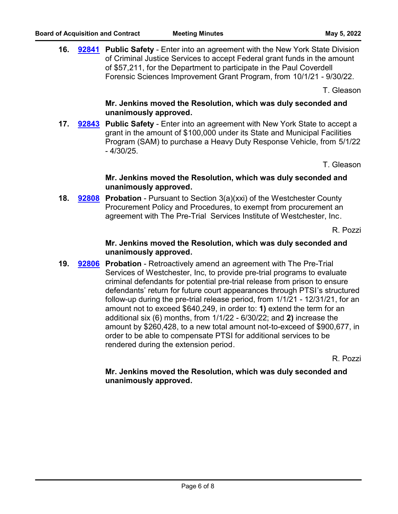**16. [92841](http://westchestercountynyexec.legistar.com/gateway.aspx?m=l&id=/matter.aspx?key=3264)** Public Safety - Enter into an agreement with the New York State Division of Criminal Justice Services to accept Federal grant funds in the amount of \$57,211, for the Department to participate in the Paul Coverdell Forensic Sciences Improvement Grant Program, from 10/1/21 - 9/30/22.

T. Gleason

# **Mr. Jenkins moved the Resolution, which was duly seconded and unanimously approved.**

**17. 92843** Public Safety - Enter into an agreement with New York State to accept a grant in the amount of \$100,000 under its State and Municipal Facilities Program (SAM) to purchase a Heavy Duty Response Vehicle, from 5/1/22 - 4/30/25. **[92843](http://westchestercountynyexec.legistar.com/gateway.aspx?m=l&id=/matter.aspx?key=3265)**

T. Gleason

# **Mr. Jenkins moved the Resolution, which was duly seconded and unanimously approved.**

**18. [92808](http://westchestercountynyexec.legistar.com/gateway.aspx?m=l&id=/matter.aspx?key=3267)** Probation - Pursuant to Section 3(a)(xxi) of the Westchester County Procurement Policy and Procedures, to exempt from procurement an agreement with The Pre-Trial Services Institute of Westchester, Inc.

R. Pozzi

# **Mr. Jenkins moved the Resolution, which was duly seconded and unanimously approved.**

**19. [92806](http://westchestercountynyexec.legistar.com/gateway.aspx?m=l&id=/matter.aspx?key=3266)** Probation - Retroactively amend an agreement with The Pre-Trial Services of Westchester, Inc, to provide pre-trial programs to evaluate criminal defendants for potential pre-trial release from prison to ensure defendants' return for future court appearances through PTSI's structured follow-up during the pre-trial release period, from 1/1/21 - 12/31/21, for an amount not to exceed \$640,249, in order to: **1)** extend the term for an additional six (6) months, from 1/1/22 - 6/30/22; and **2)** increase the amount by \$260,428, to a new total amount not-to-exceed of \$900,677, in order to be able to compensate PTSI for additional services to be rendered during the extension period.

R. Pozzi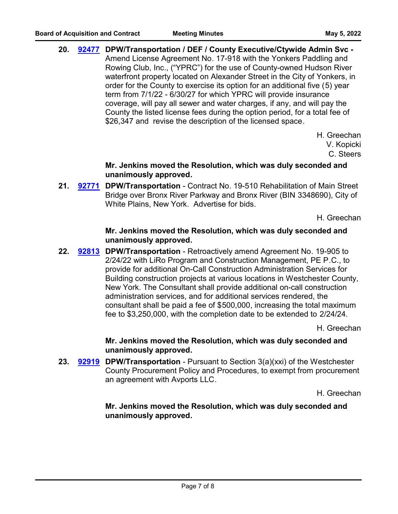**20. DPW/Transportation / DEF / County Executive/Ctywide Admin Svc - [92477](http://westchestercountynyexec.legistar.com/gateway.aspx?m=l&id=/matter.aspx?key=3268)** Amend License Agreement No. 17-918 with the Yonkers Paddling and Rowing Club, Inc., ("YPRC") for the use of County-owned Hudson River waterfront property located on Alexander Street in the City of Yonkers, in order for the County to exercise its option for an additional five (5) year term from 7/1/22 - 6/30/27 for which YPRC will provide insurance coverage, will pay all sewer and water charges, if any, and will pay the County the listed license fees during the option period, for a total fee of \$26,347 and revise the description of the licensed space.

> H. Greechan V. Kopicki C. Steers

**Mr. Jenkins moved the Resolution, which was duly seconded and unanimously approved.**

21. [92771](http://westchestercountynyexec.legistar.com/gateway.aspx?m=l&id=/matter.aspx?key=3269) DPW/Transportation - Contract No. 19-510 Rehabilitation of Main Street Bridge over Bronx River Parkway and Bronx River (BIN 3348690), City of White Plains, New York. Advertise for bids.

H. Greechan

### **Mr. Jenkins moved the Resolution, which was duly seconded and unanimously approved.**

22. **[92813](http://westchestercountynyexec.legistar.com/gateway.aspx?m=l&id=/matter.aspx?key=3270) DPW/Transportation** - Retroactively amend Agreement No. 19-905 to 2/24/22 with LiRo Program and Construction Management, PE P.C., to provide for additional On-Call Construction Administration Services for Building construction projects at various locations in Westchester County, New York. The Consultant shall provide additional on-call construction administration services, and for additional services rendered, the consultant shall be paid a fee of \$500,000, increasing the total maximum fee to \$3,250,000, with the completion date to be extended to 2/24/24.

H. Greechan

**Mr. Jenkins moved the Resolution, which was duly seconded and unanimously approved.**

23. **[92919](http://westchestercountynyexec.legistar.com/gateway.aspx?m=l&id=/matter.aspx?key=3272)** DPW/Transportation - Pursuant to Section 3(a)(xxi) of the Westchester County Procurement Policy and Procedures, to exempt from procurement an agreement with Avports LLC.

H. Greechan